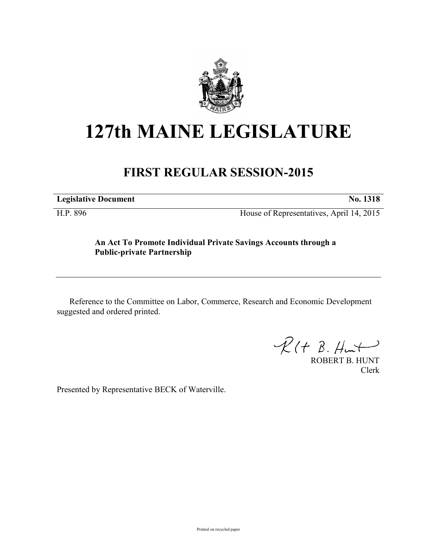

# **127th MAINE LEGISLATURE**

# **FIRST REGULAR SESSION-2015**

**Legislative Document No. 1318**

H.P. 896 House of Representatives, April 14, 2015

## **An Act To Promote Individual Private Savings Accounts through a Public-private Partnership**

Reference to the Committee on Labor, Commerce, Research and Economic Development suggested and ordered printed.

 $\mathcal{R}(t \; \mathcal{B}, \mathcal{H}_{\mathsf{int}})$ 

ROBERT B. HUNT Clerk

Presented by Representative BECK of Waterville.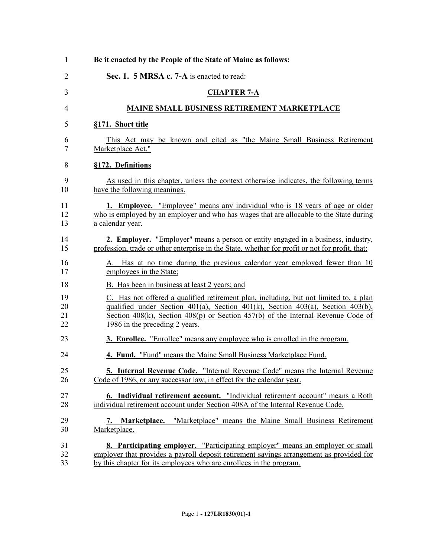| 1              | Be it enacted by the People of the State of Maine as follows:                                   |
|----------------|-------------------------------------------------------------------------------------------------|
| $\overline{2}$ | Sec. 1. 5 MRSA c. 7-A is enacted to read:                                                       |
| 3              | <b>CHAPTER 7-A</b>                                                                              |
| 4              | <b>MAINE SMALL BUSINESS RETIREMENT MARKETPLACE</b>                                              |
| 5              | §171. Short title                                                                               |
| 6              | This Act may be known and cited as "the Maine Small Business Retirement                         |
| 7              | Marketplace Act."                                                                               |
| 8              | §172. Definitions                                                                               |
| 9              | As used in this chapter, unless the context otherwise indicates, the following terms            |
| 10             | have the following meanings.                                                                    |
| 11             | <b>1. Employee.</b> "Employee" means any individual who is 18 years of age or older             |
| 12             | who is employed by an employer and who has wages that are allocable to the State during         |
| 13             | a calendar year.                                                                                |
| 14             | <b>2. Employer.</b> "Employer" means a person or entity engaged in a business, industry,        |
| 15             | profession, trade or other enterprise in the State, whether for profit or not for profit, that: |
| 16             | A. Has at no time during the previous calendar year employed fewer than 10                      |
| 17             | employees in the State;                                                                         |
| 18             | B. Has been in business at least 2 years; and                                                   |
| 19             | C. Has not offered a qualified retirement plan, including, but not limited to, a plan           |
| 20             | qualified under Section $401(a)$ , Section $401(k)$ , Section $403(a)$ , Section $403(b)$ ,     |
| 21             | Section $408(k)$ , Section $408(p)$ or Section $457(b)$ of the Internal Revenue Code of         |
| 22             | 1986 in the preceding 2 years.                                                                  |
| 23             | 3. Enrollee. "Enrollee" means any employee who is enrolled in the program.                      |
| 24             | 4. Fund. "Fund" means the Maine Small Business Marketplace Fund.                                |
| 25             | 5. Internal Revenue Code. "Internal Revenue Code" means the Internal Revenue                    |
| 26             | Code of 1986, or any successor law, in effect for the calendar year.                            |
| 27             | 6. Individual retirement account. "Individual retirement account" means a Roth                  |
| 28             | individual retirement account under Section 408A of the Internal Revenue Code.                  |
| 29             | 7. Marketplace. "Marketplace" means the Maine Small Business Retirement                         |
| 30             | Marketplace.                                                                                    |
| 31             | <b>8. Participating employer.</b> "Participating employer" means an employer or small           |
| 32             | employer that provides a payroll deposit retirement savings arrangement as provided for         |
| 33             | by this chapter for its employees who are enrollees in the program.                             |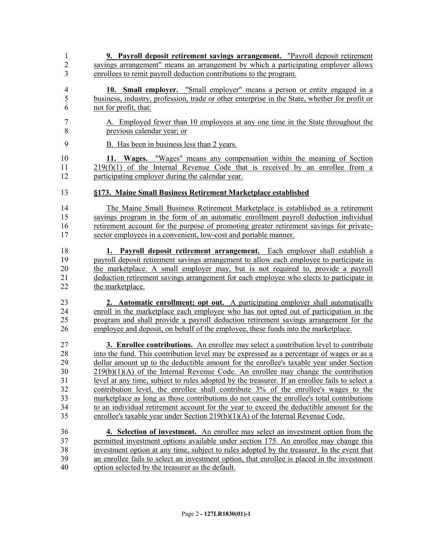**9. Payroll deposit retirement savings arrangement.** "Payroll deposit retirement savings arrangement" means an arrangement by which a participating employer allows enrollees to remit payroll deduction contributions to the program. **10. Small employer.** "Small employer" means a person or entity engaged in a business, industry, profession, trade or other enterprise in the State, whether for profit or not for profit, that: A. Employed fewer than 10 employees at any one time in the State throughout the previous calendar year; or B. Has been in business less than 2 years. **11. Wages.** "Wages" means any compensation within the meaning of Section 219(f)(1) of the Internal Revenue Code that is received by an enrollee from a participating employer during the calendar year. **§173. Maine Small Business Retirement Marketplace established** The Maine Small Business Retirement Marketplace is established as a retirement savings program in the form of an automatic enrollment payroll deduction individual retirement account for the purpose of promoting greater retirement savings for private- sector employees in a convenient, low-cost and portable manner. **1. Payroll deposit retirement arrangement.** Each employer shall establish a navroll deposit retirement savings arrangement to allow each employee to participate in payroll deposit retirement savings arrangement to allow each employee to participate in the marketplace. A small employer may, but is not required to, provide a payroll deduction retirement savings arrangement for each employee who elects to participate in 22 the marketplace. **2. Automatic enrollment; opt out.** A participating employer shall automatically enroll in the marketplace each employee who has not opted out of participation in the program and shall provide a payroll deduction retirement savings arrangement for the employee and deposit, on behalf of the employee, these funds into the marketplace. **3. Enrollee contributions.** An enrollee may select a contribution level to contribute into the fund. This contribution level may be expressed as a percentage of wages or as a 29 dollar amount up to the deductible amount for the enrollee's taxable year under Section<br>219(b)(1)(A) of the Internal Revenue Code. An enrollee may change the contribution  $219(b)(1)(A)$  of the Internal Revenue Code. An enrollee may change the contribution level at any time, subject to rules adopted by the treasurer. If an enrollee fails to select a contribution level, the enrollee shall contribute 3% of the enrollee's wages to the marketplace as long as those contributions do not cause the enrollee's total contributions to an individual retirement account for the year to exceed the deductible amount for the enrollee's taxable year under Section 219(b)(1)(A) of the Internal Revenue Code. **4. Selection of investment.** An enrollee may select an investment option from the permitted investment options available under section 175. An enrollee may change this investment option at any time, subject to rules adopted by the treasurer. In the event that an enrollee fails to select an investment option, that enrollee is placed in the investment option selected by the treasurer as the default.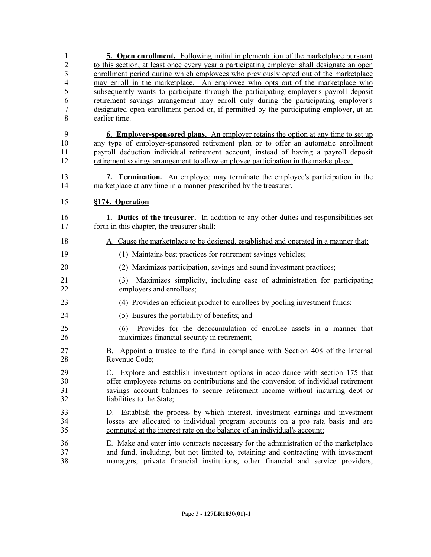| 1<br>$\overline{2}$<br>$\overline{3}$<br>$\overline{4}$<br>5<br>6<br>$\overline{7}$<br>8 | <b>5. Open enrollment.</b> Following initial implementation of the marketplace pursuant<br>to this section, at least once every year a participating employer shall designate an open<br>enrollment period during which employees who previously opted out of the marketplace<br>may enroll in the marketplace. An employee who opts out of the marketplace who<br>subsequently wants to participate through the participating employer's payroll deposit<br>retirement savings arrangement may enroll only during the participating employer's<br>designated open enrollment period or, if permitted by the participating employer, at an<br>earlier time. |
|------------------------------------------------------------------------------------------|-------------------------------------------------------------------------------------------------------------------------------------------------------------------------------------------------------------------------------------------------------------------------------------------------------------------------------------------------------------------------------------------------------------------------------------------------------------------------------------------------------------------------------------------------------------------------------------------------------------------------------------------------------------|
| 9<br>10<br>11<br>12                                                                      | <b>6. Employer-sponsored plans.</b> An employer retains the option at any time to set up<br>any type of employer-sponsored retirement plan or to offer an automatic enrollment<br>payroll deduction individual retirement account, instead of having a payroll deposit<br>retirement savings arrangement to allow employee participation in the marketplace.                                                                                                                                                                                                                                                                                                |
| 13<br>14                                                                                 | 7. Termination. An employee may terminate the employee's participation in the<br>marketplace at any time in a manner prescribed by the treasurer.                                                                                                                                                                                                                                                                                                                                                                                                                                                                                                           |
| 15                                                                                       | §174. Operation                                                                                                                                                                                                                                                                                                                                                                                                                                                                                                                                                                                                                                             |
| 16<br>17                                                                                 | 1. Duties of the treasurer. In addition to any other duties and responsibilities set<br>forth in this chapter, the treasurer shall:                                                                                                                                                                                                                                                                                                                                                                                                                                                                                                                         |
| 18                                                                                       | A. Cause the marketplace to be designed, established and operated in a manner that:                                                                                                                                                                                                                                                                                                                                                                                                                                                                                                                                                                         |
| 19                                                                                       | (1)<br>Maintains best practices for retirement savings vehicles;                                                                                                                                                                                                                                                                                                                                                                                                                                                                                                                                                                                            |
| 20                                                                                       | Maximizes participation, savings and sound investment practices;                                                                                                                                                                                                                                                                                                                                                                                                                                                                                                                                                                                            |
| 21<br>22                                                                                 | Maximizes simplicity, including ease of administration for participating<br>(3)<br>employers and enrollees;                                                                                                                                                                                                                                                                                                                                                                                                                                                                                                                                                 |
| 23                                                                                       | (4) Provides an efficient product to enrollees by pooling investment funds;                                                                                                                                                                                                                                                                                                                                                                                                                                                                                                                                                                                 |
| 24                                                                                       | (5) Ensures the portability of benefits; and                                                                                                                                                                                                                                                                                                                                                                                                                                                                                                                                                                                                                |
| 25<br>26                                                                                 | (6) Provides for the deaccumulation of enrollee assets in a manner that<br>maximizes financial security in retirement;                                                                                                                                                                                                                                                                                                                                                                                                                                                                                                                                      |
| 27<br>28                                                                                 | Appoint a trustee to the fund in compliance with Section 408 of the Internal<br>В.<br>Revenue Code;                                                                                                                                                                                                                                                                                                                                                                                                                                                                                                                                                         |
| 29<br>30<br>31<br>32                                                                     | C. Explore and establish investment options in accordance with section 175 that<br>offer employees returns on contributions and the conversion of individual retirement<br>savings account balances to secure retirement income without incurring debt or<br>liabilities to the State;                                                                                                                                                                                                                                                                                                                                                                      |
| 33<br>34<br>35                                                                           | Establish the process by which interest, investment earnings and investment<br>D.<br>losses are allocated to individual program accounts on a pro rata basis and are<br>computed at the interest rate on the balance of an individual's account;                                                                                                                                                                                                                                                                                                                                                                                                            |
| 36<br>37<br>38                                                                           | E. Make and enter into contracts necessary for the administration of the marketplace<br>and fund, including, but not limited to, retaining and contracting with investment<br>managers, private financial institutions, other financial and service providers,                                                                                                                                                                                                                                                                                                                                                                                              |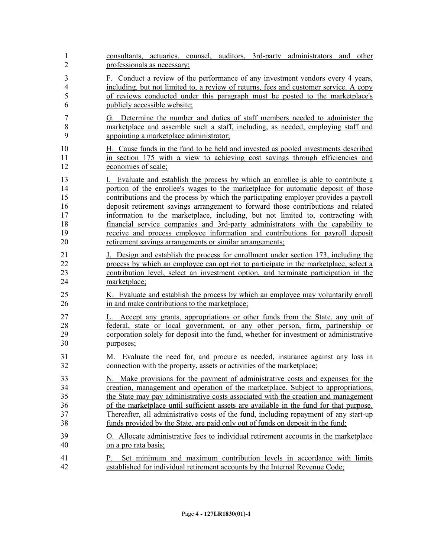| $\mathbf{1}$   | consultants, actuaries, counsel, auditors, 3rd-party administrators and other                                                                               |
|----------------|-------------------------------------------------------------------------------------------------------------------------------------------------------------|
| $\overline{2}$ | professionals as necessary;                                                                                                                                 |
| $\mathfrak{Z}$ | F. Conduct a review of the performance of any investment vendors every 4 years,                                                                             |
| $\overline{4}$ | including, but not limited to, a review of returns, fees and customer service. A copy                                                                       |
| 5              | of reviews conducted under this paragraph must be posted to the marketplace's                                                                               |
| 6              | publicly accessible website;                                                                                                                                |
| 7              | G. Determine the number and duties of staff members needed to administer the                                                                                |
| $\,8\,$        | marketplace and assemble such a staff, including, as needed, employing staff and                                                                            |
| 9              | appointing a marketplace administrator;                                                                                                                     |
| 10             | H. Cause funds in the fund to be held and invested as pooled investments described                                                                          |
| 11             | in section 175 with a view to achieving cost savings through efficiencies and                                                                               |
| 12             | economies of scale;                                                                                                                                         |
| 13             | I. Evaluate and establish the process by which an enrollee is able to contribute a                                                                          |
| 14             | portion of the enrollee's wages to the marketplace for automatic deposit of those                                                                           |
| 15             | contributions and the process by which the participating employer provides a payroll                                                                        |
| 16             | deposit retirement savings arrangement to forward those contributions and related                                                                           |
| 17             | information to the marketplace, including, but not limited to, contracting with                                                                             |
| 18             | financial service companies and 3rd-party administrators with the capability to                                                                             |
| 19             | receive and process employee information and contributions for payroll deposit                                                                              |
| 20             | retirement savings arrangements or similar arrangements;                                                                                                    |
| 21             | J. Design and establish the process for enrollment under section 173, including the                                                                         |
| 22             | process by which an employee can opt not to participate in the marketplace, select a                                                                        |
| 23             | contribution level, select an investment option, and terminate participation in the                                                                         |
| 24             | marketplace;                                                                                                                                                |
| 25             | K. Evaluate and establish the process by which an employee may voluntarily enroll                                                                           |
| 26             | in and make contributions to the marketplace;                                                                                                               |
| 27             | L. Accept any grants, appropriations or other funds from the State, any unit of                                                                             |
| 28             | federal, state or local government, or any other person, firm, partnership or                                                                               |
| 29             | corporation solely for deposit into the fund, whether for investment or administrative                                                                      |
| 30             | purposes;                                                                                                                                                   |
| 31             | M. Evaluate the need for, and procure as needed, insurance against any loss in                                                                              |
| 32             | connection with the property, assets or activities of the marketplace;                                                                                      |
| 33             | N. Make provisions for the payment of administrative costs and expenses for the                                                                             |
| 34             | creation, management and operation of the marketplace. Subject to appropriations,                                                                           |
| 35             | the State may pay administrative costs associated with the creation and management                                                                          |
| 36             | of the marketplace until sufficient assets are available in the fund for that purpose.                                                                      |
| 37             | Thereafter, all administrative costs of the fund, including repayment of any start-up                                                                       |
| 38             | funds provided by the State, are paid only out of funds on deposit in the fund;                                                                             |
| 39             | <u>O. Allocate administrative fees to individual retirement accounts in the marketplace</u>                                                                 |
| 40             | on a pro rata basis;                                                                                                                                        |
| 41<br>42       | Set minimum and maximum contribution levels in accordance with limits<br>Р.<br>established for individual retirement accounts by the Internal Revenue Code; |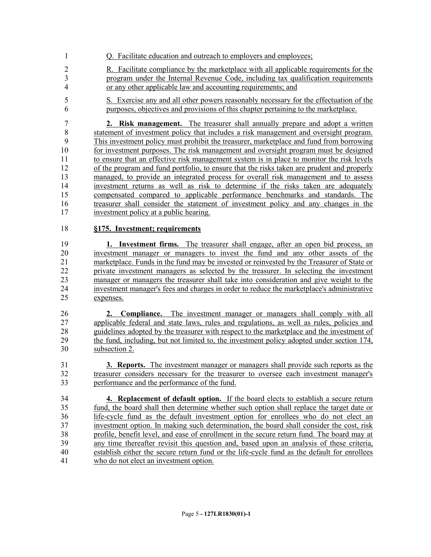- Q. Facilitate education and outreach to employers and employees;
- 2 R. Facilitate compliance by the marketplace with all applicable requirements for the program under the Internal Revenue Code, including tax qualification requirements or any other applicable law and accounting requirements; and
- S. Exercise any and all other powers reasonably necessary for the effectuation of the purposes, objectives and provisions of this chapter pertaining to the marketplace.

 **2. Risk management.** The treasurer shall annually prepare and adopt a written statement of investment policy that includes a risk management and oversight program. This investment policy must prohibit the treasurer, marketplace and fund from borrowing 10 for investment purposes. The risk management and oversight program must be designed to ensure that an effective risk management system is in place to monitor the risk levels of the program and fund portfolio, to ensure that the risks taken are prudent and properly managed, to provide an integrated process for overall risk management and to assess investment returns as well as risk to determine if the risks taken are adequately compensated compared to applicable performance benchmarks and standards. The treasurer shall consider the statement of investment policy and any changes in the investment policy at a public hearing.

### **§175. Investment; requirements**

 **1. Investment firms.** The treasurer shall engage, after an open bid process, an investment manager or managers to invest the fund and any other assets of the marketplace. Funds in the fund may be invested or reinvested by the Treasurer of State or private investment managers as selected by the treasurer. In selecting the investment manager or managers the treasurer shall take into consideration and give weight to the investment manager's fees and charges in order to reduce the marketplace's administrative expenses.

 **2. Compliance.** The investment manager or managers shall comply with all applicable federal and state laws, rules and regulations, as well as rules, policies and guidelines adopted by the treasurer with respect to the marketplace and the investment of 29 the fund, including, but not limited to, the investment policy adopted under section 174, 20<br>30 subsection 2.

- **3. Reports.** The investment manager or managers shall provide such reports as the treasurer considers necessary for the treasurer to oversee each investment manager's performance and the performance of the fund.
- **4. Replacement of default option.** If the board elects to establish a secure return fund, the board shall then determine whether such option shall replace the target date or life-cycle fund as the default investment option for enrollees who do not elect an investment option. In making such determination, the board shall consider the cost, risk profile, benefit level, and ease of enrollment in the secure return fund. The board may at any time thereafter revisit this question and, based upon an analysis of these criteria, establish either the secure return fund or the life-cycle fund as the default for enrollees who do not elect an investment option.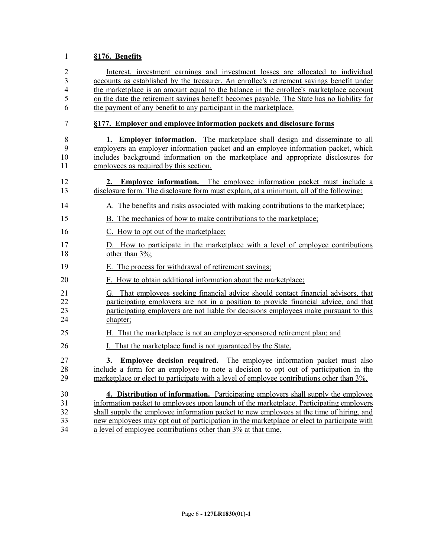#### **§176. Benefits**

 Interest, investment earnings and investment losses are allocated to individual accounts as established by the treasurer. An enrollee's retirement savings benefit under the marketplace is an amount equal to the balance in the enrollee's marketplace account on the date the retirement savings benefit becomes payable. The State has no liability for the payment of any benefit to any participant in the marketplace.

#### **§177. Employer and employee information packets and disclosure forms**

- 8 **1. Employer information.** The marketplace shall design and disseminate to all employers an employer information packet and an employee information packet, which employers an employer information packet and an employee information packet, which includes background information on the marketplace and appropriate disclosures for 11 employees as required by this section.
- **2. Employee information.** The employee information packet must include a disclosure form. The disclosure form must explain, at a minimum, all of the following:
- A. The benefits and risks associated with making contributions to the marketplace;
- B. The mechanics of how to make contributions to the marketplace;
- C. How to opt out of the marketplace;
- D. How to participate in the marketplace with a level of employee contributions 18 other than  $3\%$ ;
- E. The process for withdrawal of retirement savings;
- F. How to obtain additional information about the marketplace;
- G. That employees seeking financial advice should contact financial advisors, that participating employers are not in a position to provide financial advice, and that participating employers are not liable for decisions employees make pursuant to this chapter;
- H. That the marketplace is not an employer-sponsored retirement plan; and
- I. That the marketplace fund is not guaranteed by the State.

 **3. Employee decision required.** The employee information packet must also include a form for an employee to note a decision to opt out of participation in the marketplace or elect to participate with a level of employee contributions other than 3%.

 **4. Distribution of information.** Participating employers shall supply the employee information packet to employees upon launch of the marketplace. Participating employers shall supply the employee information packet to new employees at the time of hiring, and new employees may opt out of participation in the marketplace or elect to participate with a level of employee contributions other than 3% at that time.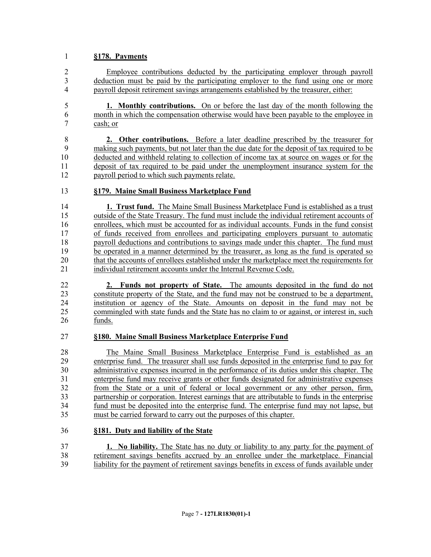#### **§178. Payments**

 Employee contributions deducted by the participating employer through payroll deduction must be paid by the participating employer to the fund using one or more payroll deposit retirement savings arrangements established by the treasurer, either:

 **1. Monthly contributions.** On or before the last day of the month following the month in which the compensation otherwise would have been payable to the employee in cash; or

8 **2. Other contributions.** Before a later deadline prescribed by the treasurer for making such payments, but not later than the due date for the deposit of tax required to be making such payments, but not later than the due date for the deposit of tax required to be deducted and withheld relating to collection of income tax at source on wages or for the deposit of tax required to be paid under the unemployment insurance system for the 12 payroll period to which such payments relate.

#### **§179. Maine Small Business Marketplace Fund**

 **1. Trust fund.** The Maine Small Business Marketplace Fund is established as a trust outside of the State Treasury. The fund must include the individual retirement accounts of enrollees, which must be accounted for as individual accounts. Funds in the fund consist of funds received from enrollees and participating employers pursuant to automatic payroll deductions and contributions to savings made under this chapter. The fund must 19 be operated in a manner determined by the treasurer, as long as the fund is operated so that the accounts of enrollees established under the marketplace meet the requirements for that the accounts of enrollees established under the marketplace meet the requirements for individual retirement accounts under the Internal Revenue Code.

 **2. Funds not property of State.** The amounts deposited in the fund do not constitute property of the State, and the fund may not be construed to be a department, institution or agency of the State. Amounts on deposit in the fund may not be commingled with state funds and the State has no claim to or against, or interest in, such funds.

#### **§180. Maine Small Business Marketplace Enterprise Fund**

 The Maine Small Business Marketplace Enterprise Fund is established as an enterprise fund. The treasurer shall use funds deposited in the enterprise fund to pay for administrative expenses incurred in the performance of its duties under this chapter. The enterprise fund may receive grants or other funds designated for administrative expenses from the State or a unit of federal or local government or any other person, firm, partnership or corporation. Interest earnings that are attributable to funds in the enterprise fund must be deposited into the enterprise fund. The enterprise fund may not lapse, but must be carried forward to carry out the purposes of this chapter.

#### **§181. Duty and liability of the State**

 **1. No liability.** The State has no duty or liability to any party for the payment of 38 retirement savings benefits accrued by an enrollee under the marketplace. Financial<br>39 liability for the payment of retirement savings benefits in excess of funds available under liability for the payment of retirement savings benefits in excess of funds available under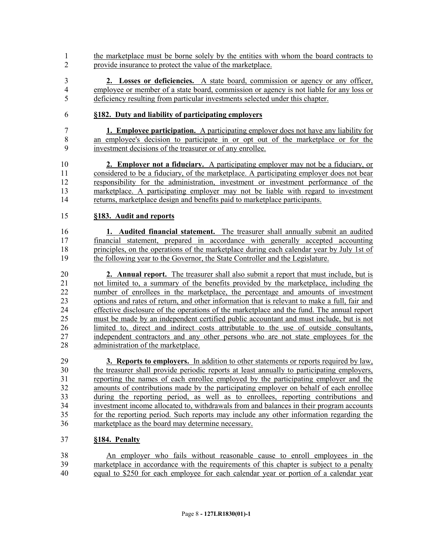- the marketplace must be borne solely by the entities with whom the board contracts to provide insurance to protect the value of the marketplace.
- **2. Losses or deficiencies.** A state board, commission or agency or any officer, employee or member of a state board, commission or agency is not liable for any loss or deficiency resulting from particular investments selected under this chapter.
- **§182. Duty and liability of participating employers**
- **1. Employee participation.** A participating employer does not have any liability for 8 an employee's decision to participate in or opt out of the marketplace or for the investment decisions of the treasurer or of any enrollee. investment decisions of the treasurer or of any enrollee.
- **2. Employer not a fiduciary.** A participating employer may not be a fiduciary, or considered to be a fiduciary, of the marketplace. A participating employer does not bear responsibility for the administration, investment or investment performance of the marketplace. A participating employer may not be liable with regard to investment returns, marketplace design and benefits paid to marketplace participants.

### **§183. Audit and reports**

 **1. Audited financial statement.** The treasurer shall annually submit an audited financial statement, prepared in accordance with generally accepted accounting principles, on the operations of the marketplace during each calendar year by July 1st of the following year to the Governor, the State Controller and the Legislature.

 **2. Annual report.** The treasurer shall also submit a report that must include, but is not limited to, a summary of the benefits provided by the marketplace, including the number of enrollees in the marketplace, the percentage and amounts of investment 23 options and rates of return, and other information that is relevant to make a full, fair and effective disclosure of the operations of the marketplace and the fund. The annual report effective disclosure of the operations of the marketplace and the fund. The annual report must be made by an independent certified public accountant and must include, but is not limited to, direct and indirect costs attributable to the use of outside consultants, 27 independent contractors and any other persons who are not state employees for the administration of the marketplace.

 **3. Reports to employers.** In addition to other statements or reports required by law, the treasurer shall provide periodic reports at least annually to participating employers, reporting the names of each enrollee employed by the participating employer and the amounts of contributions made by the participating employer on behalf of each enrollee during the reporting period, as well as to enrollees, reporting contributions and investment income allocated to, withdrawals from and balances in their program accounts for the reporting period. Such reports may include any other information regarding the marketplace as the board may determine necessary.

#### **§184. Penalty**

38 An employer who fails without reasonable cause to enroll employees in the marketplace in accordance with the requirements of this chapter is subject to a penalty marketplace in accordance with the requirements of this chapter is subject to a penalty equal to \$250 for each employee for each calendar year or portion of a calendar year